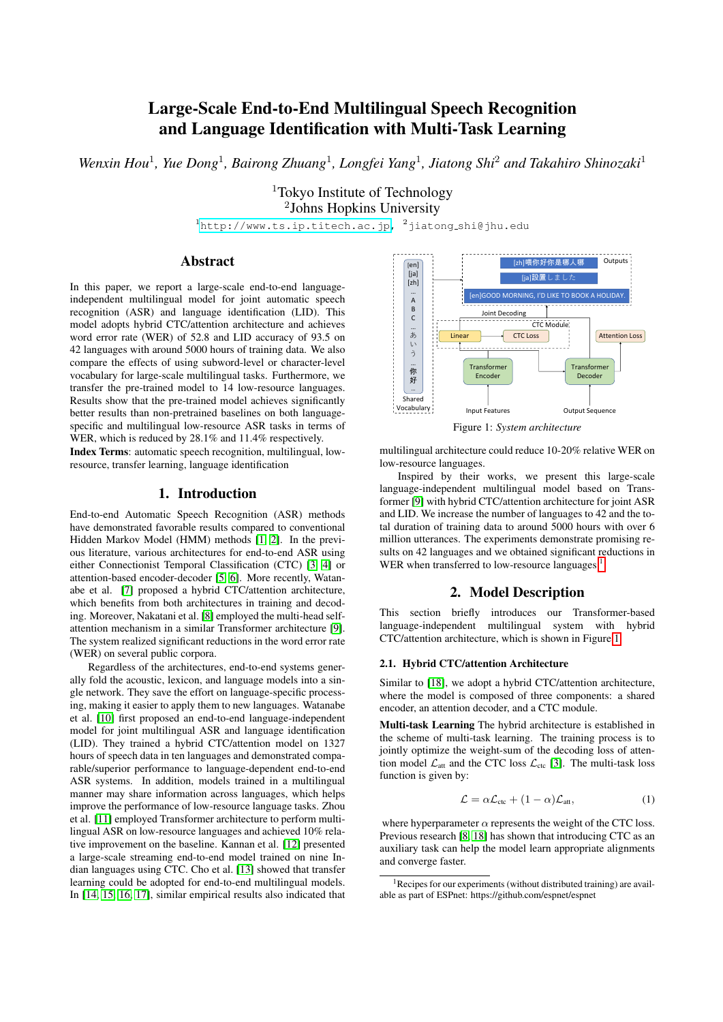# Large-Scale End-to-End Multilingual Speech Recognition and Language Identification with Multi-Task Learning

Wenxin Hou<sup>1</sup>, Yue Dong<sup>1</sup>, Bairong Zhuang<sup>1</sup>, Longfei Yang<sup>1</sup>, Jiatong Shi<sup>2</sup> and Takahiro Shinozaki<sup>1</sup>

<sup>1</sup>Tokyo Institute of Technology 2 Johns Hopkins University

 $1$ [http://www.ts.ip.titech.ac.jp,](http://www.ts.ip.titech.ac.jp)  $2$ jiatong\_shi@jhu.edu

# Abstract

In this paper, we report a large-scale end-to-end languageindependent multilingual model for joint automatic speech recognition (ASR) and language identification (LID). This model adopts hybrid CTC/attention architecture and achieves word error rate (WER) of 52.8 and LID accuracy of 93.5 on 42 languages with around 5000 hours of training data. We also compare the effects of using subword-level or character-level vocabulary for large-scale multilingual tasks. Furthermore, we transfer the pre-trained model to 14 low-resource languages. Results show that the pre-trained model achieves significantly better results than non-pretrained baselines on both languagespecific and multilingual low-resource ASR tasks in terms of WER, which is reduced by 28.1% and 11.4% respectively.

Index Terms: automatic speech recognition, multilingual, lowresource, transfer learning, language identification

#### 1. Introduction

End-to-end Automatic Speech Recognition (ASR) methods have demonstrated favorable results compared to conventional Hidden Markov Model (HMM) methods [\[1,](#page-4-0) [2\]](#page-4-1). In the previous literature, various architectures for end-to-end ASR using either Connectionist Temporal Classification (CTC) [\[3,](#page-4-2) [4\]](#page-4-3) or attention-based encoder-decoder [\[5,](#page-4-4) [6\]](#page-4-5). More recently, Watanabe et al. [\[7\]](#page-4-6) proposed a hybrid CTC/attention architecture, which benefits from both architectures in training and decoding. Moreover, Nakatani et al. [\[8\]](#page-4-7) employed the multi-head selfattention mechanism in a similar Transformer architecture [\[9\]](#page-4-8). The system realized significant reductions in the word error rate (WER) on several public corpora.

Regardless of the architectures, end-to-end systems generally fold the acoustic, lexicon, and language models into a single network. They save the effort on language-specific processing, making it easier to apply them to new languages. Watanabe et al. [\[10\]](#page-4-9) first proposed an end-to-end language-independent model for joint multilingual ASR and language identification (LID). They trained a hybrid CTC/attention model on 1327 hours of speech data in ten languages and demonstrated comparable/superior performance to language-dependent end-to-end ASR systems. In addition, models trained in a multilingual manner may share information across languages, which helps improve the performance of low-resource language tasks. Zhou et al. [\[11\]](#page-4-10) employed Transformer architecture to perform multilingual ASR on low-resource languages and achieved 10% relative improvement on the baseline. Kannan et al. [\[12\]](#page-4-11) presented a large-scale streaming end-to-end model trained on nine Indian languages using CTC. Cho et al. [\[13\]](#page-4-12) showed that transfer learning could be adopted for end-to-end multilingual models. In [\[14,](#page-4-13) [15,](#page-4-14) [16,](#page-4-15) [17\]](#page-4-16), similar empirical results also indicated that

<span id="page-0-1"></span>

Figure 1: *System architecture*

multilingual architecture could reduce 10-20% relative WER on low-resource languages.

Inspired by their works, we present this large-scale language-independent multilingual model based on Transformer [\[9\]](#page-4-8) with hybrid CTC/attention architecture for joint ASR and LID. We increase the number of languages to 42 and the total duration of training data to around 5000 hours with over 6 million utterances. The experiments demonstrate promising results on 42 languages and we obtained significant reductions in WER when transferred to low-resource languages  $<sup>1</sup>$  $<sup>1</sup>$  $<sup>1</sup>$ .</sup>

### 2. Model Description

This section briefly introduces our Transformer-based language-independent multilingual system with hybrid CTC/attention architecture, which is shown in Figure [1.](#page-0-1)

#### 2.1. Hybrid CTC/attention Architecture

Similar to [\[18\]](#page-4-17), we adopt a hybrid CTC/attention architecture, where the model is composed of three components: a shared encoder, an attention decoder, and a CTC module.

Multi-task Learning The hybrid architecture is established in the scheme of multi-task learning. The training process is to jointly optimize the weight-sum of the decoding loss of attention model  $\mathcal{L}_{\text{att}}$  and the CTC loss  $\mathcal{L}_{\text{ctc}}$  [\[3\]](#page-4-2). The multi-task loss function is given by:

$$
\mathcal{L} = \alpha \mathcal{L}_{\text{ctc}} + (1 - \alpha) \mathcal{L}_{\text{att}},\tag{1}
$$

where hyperparameter  $\alpha$  represents the weight of the CTC loss. Previous research [\[8,](#page-4-7) [18\]](#page-4-17) has shown that introducing CTC as an auxiliary task can help the model learn appropriate alignments and converge faster.

<span id="page-0-0"></span><sup>&</sup>lt;sup>1</sup>Recipes for our experiments (without distributed training) are available as part of ESPnet: https://github.com/espnet/espnet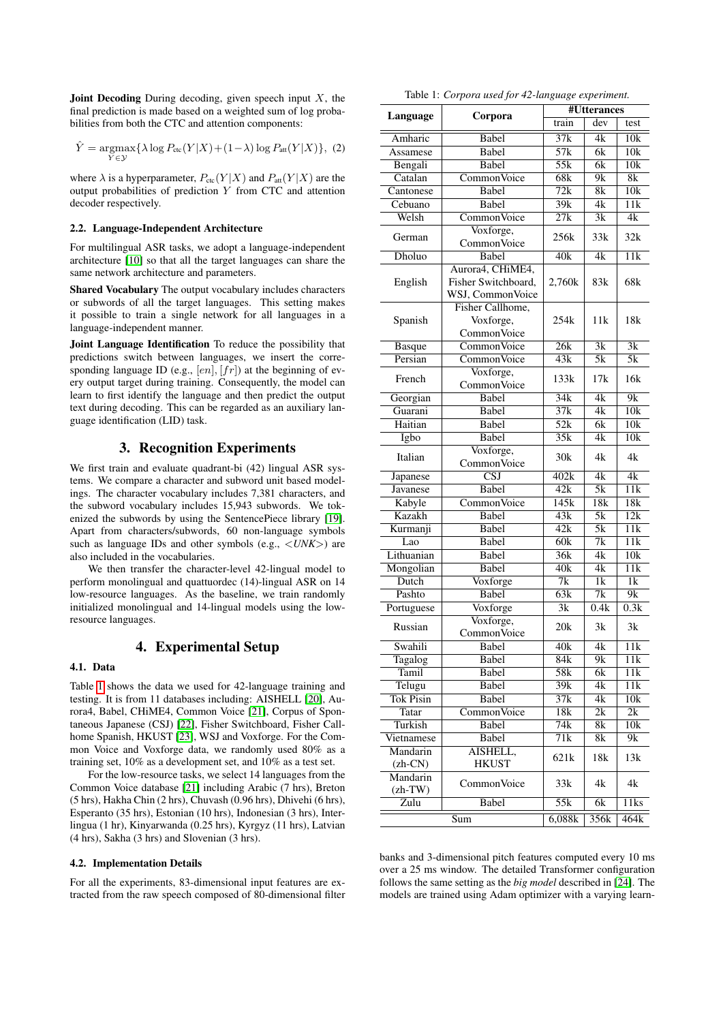**Joint Decoding** During decoding, given speech input  $X$ , the final prediction is made based on a weighted sum of log probabilities from both the CTC and attention components:

$$
\hat{Y} = \underset{Y \in \mathcal{Y}}{\operatorname{argmax}} \{ \lambda \log P_{\text{ctc}}(Y|X) + (1-\lambda) \log P_{\text{att}}(Y|X) \},\tag{2}
$$

where  $\lambda$  is a hyperparameter,  $P_{\text{ctc}}(Y|X)$  and  $P_{\text{att}}(Y|X)$  are the output probabilities of prediction  $Y$  from CTC and attention decoder respectively.

#### 2.2. Language-Independent Architecture

For multilingual ASR tasks, we adopt a language-independent architecture [\[10\]](#page-4-9) so that all the target languages can share the same network architecture and parameters.

Shared Vocabulary The output vocabulary includes characters or subwords of all the target languages. This setting makes it possible to train a single network for all languages in a language-independent manner.

Joint Language Identification To reduce the possibility that predictions switch between languages, we insert the corresponding language ID (e.g.,  $[en]$ ,  $[fr]$ ) at the beginning of every output target during training. Consequently, the model can learn to first identify the language and then predict the output text during decoding. This can be regarded as an auxiliary language identification (LID) task.

# 3. Recognition Experiments

We first train and evaluate quadrant-bi (42) lingual ASR systems. We compare a character and subword unit based modelings. The character vocabulary includes 7,381 characters, and the subword vocabulary includes 15,943 subwords. We tokenized the subwords by using the SentencePiece library [\[19\]](#page-4-18). Apart from characters/subwords, 60 non-language symbols such as language IDs and other symbols (e.g., <*UNK*>) are also included in the vocabularies.

We then transfer the character-level 42-lingual model to perform monolingual and quattuordec (14)-lingual ASR on 14 low-resource languages. As the baseline, we train randomly initialized monolingual and 14-lingual models using the lowresource languages.

## 4. Experimental Setup

#### 4.1. Data

Table [1](#page-1-0) shows the data we used for 42-language training and testing. It is from 11 databases including: AISHELL [\[20\]](#page-4-19), Aurora4, Babel, CHiME4, Common Voice [\[21\]](#page-4-20), Corpus of Spontaneous Japanese (CSJ) [\[22\]](#page-4-21), Fisher Switchboard, Fisher Call-home Spanish, HKUST [\[23\]](#page-4-22), WSJ and Voxforge. For the Common Voice and Voxforge data, we randomly used 80% as a training set, 10% as a development set, and 10% as a test set.

For the low-resource tasks, we select 14 languages from the Common Voice database [\[21\]](#page-4-20) including Arabic (7 hrs), Breton (5 hrs), Hakha Chin (2 hrs), Chuvash (0.96 hrs), Dhivehi (6 hrs), Esperanto (35 hrs), Estonian (10 hrs), Indonesian (3 hrs), Interlingua (1 hr), Kinyarwanda (0.25 hrs), Kyrgyz (11 hrs), Latvian (4 hrs), Sakha (3 hrs) and Slovenian (3 hrs).

#### 4.2. Implementation Details

For all the experiments, 83-dimensional input features are extracted from the raw speech composed of 80-dimensional filter

|  | Table 1: Corpora used for 42-language experiment. |  |
|--|---------------------------------------------------|--|
|  |                                                   |  |

<span id="page-1-0"></span>

|                  |                         | #Utterances       |                  |                        |  |
|------------------|-------------------------|-------------------|------------------|------------------------|--|
| Language         | Corpora                 | train             | dev              | test                   |  |
| Amharic          | Babel                   | 37k               | 4k               | 10k                    |  |
| Assamese         | Babel                   | 57k               | 6k               | 10k                    |  |
| Bengali          | Babel                   | $\overline{55k}$  | $\overline{6k}$  | 10k                    |  |
| Catalan          | Common Voice            | 68k               | $\overline{9k}$  | $\overline{\text{8k}}$ |  |
| Cantonese        | Babel                   | $\overline{72k}$  | $\overline{8k}$  | $\overline{10k}$       |  |
| Cebuano          | Babel                   | $\overline{39k}$  | 4k               | 11k                    |  |
| Welsh            | Common Voice            | 27k               | 3k               | 4k                     |  |
|                  | Voxforge,               |                   |                  |                        |  |
| German           | Common Voice            | 256k              | 33k              | 32k                    |  |
| Dholuo           | Babel                   | 40k               | 4k               | 11k                    |  |
|                  | Aurora4, CHiME4,        |                   |                  |                        |  |
| English          | Fisher Switchboard,     | 2,760k            | 83k              | 68k                    |  |
|                  | WSJ, CommonVoice        |                   |                  |                        |  |
|                  | Fisher Callhome,        |                   |                  |                        |  |
| Spanish          | Voxforge,               | 254k              | 11k              | 18k                    |  |
|                  | Common Voice            |                   |                  |                        |  |
| <b>Basque</b>    | Common Voice            | 26k               | $\overline{3k}$  | $\overline{3k}$        |  |
| Persian          | Common Voice            | 43k               | 5k               | 5k                     |  |
|                  | Voxforge,               |                   |                  |                        |  |
| French           | Common Voice            | 133k              | 17k              | 16k                    |  |
| Georgian         | Babel                   | $\overline{34k}$  | 4k               | $\overline{9k}$        |  |
| Guarani          | Babel                   | $\overline{37k}$  | 4k               | 10k                    |  |
| Haitian          | Babel                   | 52k               | 6k               | 10k                    |  |
| Igbo             | Babel                   | 35k               | 4k               | 10k                    |  |
|                  | Voxforge,               |                   |                  |                        |  |
| Italian          | Common Voice            | 30k               | 4k               | 4k                     |  |
| Japanese         | $\overline{\text{CSJ}}$ | 402k              | 4k               | 4k                     |  |
| Javanese         | Babel                   | 42k               | $\overline{5k}$  | $\overline{11k}$       |  |
| Kabyle           | Common Voice            | 145k              | 18k              | 18k                    |  |
| Kazakh           | Babel                   | 43k               | $\overline{5k}$  | 12k                    |  |
| Kurmanji         | Babel                   | 42k               | $\overline{5k}$  | $\overline{11k}$       |  |
| Lao              | <b>Babel</b>            | 60k               | $\overline{7k}$  | 11k                    |  |
| Lithuanian       | <b>Babel</b>            | $\overline{36k}$  | 4k               | $\overline{10k}$       |  |
| Mongolian        | Babel                   | $\overline{40k}$  | 4k               | $\overline{11k}$       |  |
| Dutch            | Voxforge                | $\overline{7k}$   | 1k               | $\overline{1k}$        |  |
| Pashto           | Babel                   | 63k               | $\overline{7}$ k | 9k                     |  |
| Portuguese       | Voxforge                | $\overline{3k}$   | 0.4k             | 0.3k                   |  |
|                  | Voxforge,               |                   |                  |                        |  |
| Russian          | Common Voice            | 20k               | 3k               | 3k                     |  |
| Swahili          | Babel                   | 40k               | 4k               | $\overline{11k}$       |  |
| Tagalog          | Babel                   | $\overline{84}$ k | 9k               | 11k                    |  |
| Tamil            | Babel                   | 58k               | 6k               | 11k                    |  |
| Telugu           | Babel                   | 39k               | 4k               | 11k                    |  |
| <b>Tok Pisin</b> | Babel                   | $\overline{37k}$  | 4k               | $\overline{10k}$       |  |
| Tatar            | Common Voice            | 18k               | 2k               | 2k                     |  |
| Turkish          | Babel                   | 74k               | 8k               | 10k                    |  |
| Vietnamese       | Babel                   | 71k               | 8k               | 9k                     |  |
| Mandarin         | AISHELL,                |                   |                  |                        |  |
| $(zh-CN)$        | HKUST                   | 621k              | 18k              | 13k                    |  |
| Mandarin         |                         |                   |                  |                        |  |
| $(zh-TW)$        | Common Voice            | 33k               | 4k               | 4k                     |  |
| Zulu             | Babel                   | 55k               | 6k               | 11ks                   |  |
|                  |                         |                   |                  |                        |  |
|                  | Sum                     | 6,088k            | 356k             | 464k                   |  |

banks and 3-dimensional pitch features computed every 10 ms over a 25 ms window. The detailed Transformer configuration follows the same setting as the *big model* described in [\[24\]](#page-4-23). The models are trained using Adam optimizer with a varying learn-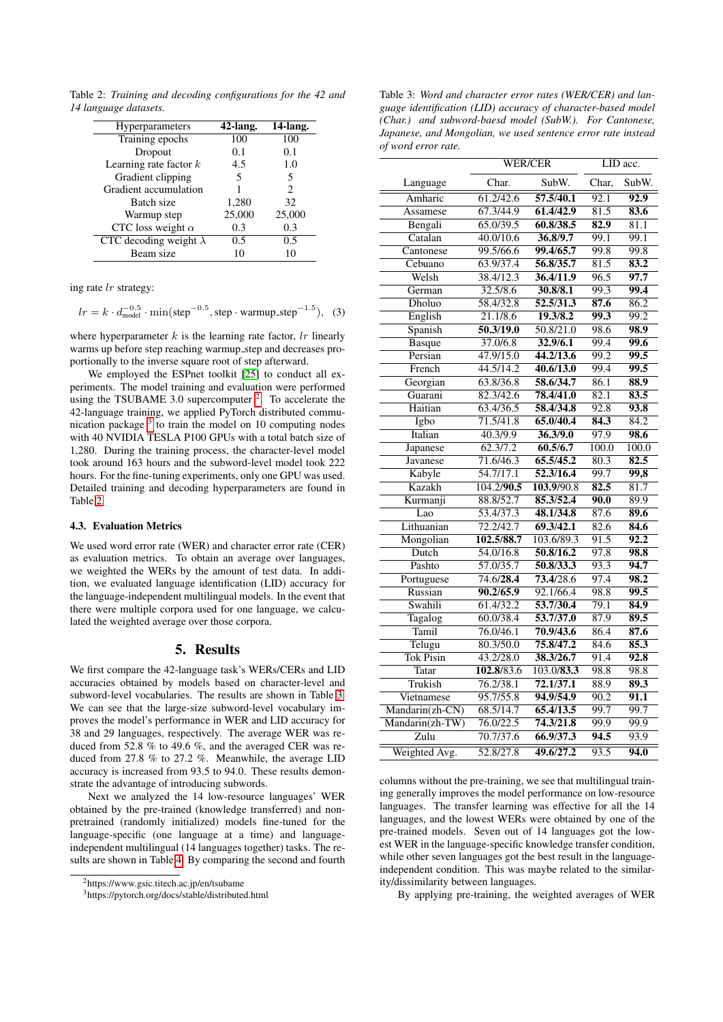<span id="page-2-2"></span>Table 2: *Training and decoding configurations for the 42 and 14 language datasets.*

| <b>Hyperparameters</b>        | $42$ -lang. | 14-lang.                    |
|-------------------------------|-------------|-----------------------------|
| Training epochs               | 100         | 100                         |
| Dropout                       | 0.1         | 0.1                         |
| Learning rate factor $k$      | 4.5         | 1.0                         |
| Gradient clipping             | 5           | 5                           |
| Gradient accumulation         |             | $\mathcal{D}_{\mathcal{L}}$ |
| Batch size                    | 1,280       | 32                          |
| Warmup step                   | 25,000      | 25,000                      |
| CTC loss weight $\alpha$      | 0.3         | 0.3                         |
| CTC decoding weight $\lambda$ | 0.5         | 0.5                         |
| Beam size                     | 10          | 10                          |

ing rate lr strategy:

| $lr = k \cdot d_{\text{model}}^{-0.5} \cdot \min(\text{step}^{-0.5}, \text{step} \cdot \text{warmup\_step}^{-1.5}),$ (3) |  |  |  |
|--------------------------------------------------------------------------------------------------------------------------|--|--|--|
|--------------------------------------------------------------------------------------------------------------------------|--|--|--|

where hyperparameter  $k$  is the learning rate factor,  $lr$  linearly warms up before step reaching warmup step and decreases proportionally to the inverse square root of step afterward.

We employed the ESPnet toolkit [\[25\]](#page-4-24) to conduct all experiments. The model training and evaluation were performed using the TSUBAME 3.0 supercomputer  $2$ . To accelerate the 42-language training, we applied PyTorch distributed communication package  $3$  to train the model on 10 computing nodes with 40 NVIDIA TESLA P100 GPUs with a total batch size of 1,280. During the training process, the character-level model took around 163 hours and the subword-level model took 222 hours. For the fine-tuning experiments, only one GPU was used. Detailed training and decoding hyperparameters are found in Table [2.](#page-2-2)

#### 4.3. Evaluation Metrics

We used word error rate (WER) and character error rate (CER) as evaluation metrics. To obtain an average over languages, we weighted the WERs by the amount of test data. In addition, we evaluated language identification (LID) accuracy for the language-independent multilingual models. In the event that there were multiple corpora used for one language, we calculated the weighted average over those corpora.

### 5. Results

We first compare the 42-language task's WERs/CERs and LID accuracies obtained by models based on character-level and subword-level vocabularies. The results are shown in Table [3.](#page-2-3) We can see that the large-size subword-level vocabulary improves the model's performance in WER and LID accuracy for 38 and 29 languages, respectively. The average WER was reduced from 52.8 % to 49.6 %, and the averaged CER was reduced from 27.8 % to 27.2 %. Meanwhile, the average LID accuracy is increased from 93.5 to 94.0. These results demonstrate the advantage of introducing subwords.

Next we analyzed the 14 low-resource languages' WER obtained by the pre-trained (knowledge transferred) and nonpretrained (randomly initialized) models fine-tuned for the language-specific (one language at a time) and languageindependent multilingual (14 languages together) tasks. The results are shown in Table [4.](#page-3-0) By comparing the second and fourth <span id="page-2-3"></span>Table 3: *Word and character error rates (WER/CER) and language identification (LID) accuracy of character-based model (Char.) and subword-baesd model (SubW.). For Cantonese, Japanese, and Mongolian, we used sentence error rate instead of word error rate.*

|                  | <b>WER/CER</b>      |                         | LID acc.          |                   |
|------------------|---------------------|-------------------------|-------------------|-------------------|
| Language         | Char.               | SubW.                   | Char,             | SubW.             |
| Amharic          | 61.2/42.6           | $\overline{57.5/40.1}$  | $\overline{92.1}$ | $\overline{92.9}$ |
| Assamese         | 67.3/44.9           | 61.4/42.9               | 81.5              | 83.6              |
| Bengali          | 65.0/39.5           | 60.8/38.5               | 82.9              | 81.1              |
| Catalan          | 40.0/10.6           | 36.8/9.7                | 99.1              | 99.1              |
| Cantonese        | 99.5/66.6           | 99.4/65.7               | 99.8              | 99.8              |
| Cebuano          | 63.9/37.4           | 56.8/35.7               | 81.5              | 83.2              |
| Welsh            | 38.4/12.3           | 36.4/11.9               | $\overline{96.5}$ | 97.7              |
| German           | 32.5/8.6            | 30.8/8.1                | 99.3              | 99.4              |
| Dholuo           | 58.4/32.8           | 52.5/31.3               | 87.6              | 86.2              |
| English          | 21.1/8.6            | 19.3/8.2                | 99.3              | 99.2              |
| Spanish          | 50.3/19.0           | 50.8/21.0               | 98.6              | 98.9              |
| <b>Basque</b>    | 37.0/6.8            | 32.9/6.1                | 99.4              | 99.6              |
| Persian          | $\frac{47.9}{15.0}$ | 44.2/13.6               | 99.2              | $\overline{99.5}$ |
| French           | 44.5/14.2           | 40.6/13.0               | 99.4              | 99.5              |
| Georgian         | 63.8/36.8           | 58.6/34.7               | 86.1              | 88.9              |
| Guarani          | 82.3/42.6           | 78.4/41.0               | 82.1              | 83.5              |
| Haitian          | 63.4/36.5           | 58.4/34.8               | 92.8              | 93.8              |
| Igbo             | 71.5/41.8           | 65.0/40.4               | 84.3              | 84.2              |
| Italian          | 40.3/9.9            | 36.3/9.0                | 97.9              | 98.6              |
| Japanese         | 62.3/7.2            | 60.5/6.7                | 100.0             | 100.0             |
| Javanese         | 71.6/46.3           | 65.5/45.2               | 80.3              | 82.5              |
| Kabyle           | 54.7/17.1           | 52.3/16.4               | 99.7              | 99,8              |
| Kazakh           | 104.2/90.5          | 103.9/90.8              | 82.5              | 81.7              |
| Kurmanji         | 88.8/52.7           | 85.3/52.4               | 90.0              | 89.9              |
| Lao              | 53.4/37.3           | 48.1/34.8               | 87.6              | 89.6              |
| Lithuanian       | 72.2/42.7           | 69.3/42.1               | 82.6              | 84.6              |
| Mongolian        | 102.5/88.7          | 103.6/89.3              | 91.5              | 92.2              |
| Dutch            | 54.0/16.8           | 50.8/16.2               | 97.8              | 98.8              |
| Pashto           | 57.0/35.7           | 50.8/33.3               | 93.3              | 94.7              |
| Portuguese       | 74.6/28.4           | 73.4/28.6               | 97.4              | $\overline{98.2}$ |
| Russian          | 90.2/65.9           | 92.1/66.4               | 98.8              | 99.5              |
| Swahili          | 61.4/32.2           | 53.7/30.4               | 79.1              | 84.9              |
| Tagalog          | 60.0/38.4           | 53.7/37.0               | 87.9              | 89.5              |
| Tamil            | 76.0/46.1           | 70.9/43.6               | 86.4              | 87.6              |
| Telugu           | 80.3/50.0           | 75.8/47.2               | 84.6              | 85.3              |
| <b>Tok Pisin</b> | 43.2/28.0           | 38.3/26.7               | 91.4              | 92.8              |
| Tatar            | 102.8/83.6          | $\overline{103.0/83.3}$ | 98.8              | 98.8              |
| Trukish          | 76.2/38.1           | 72.1/37.1               | 88.9              | 89.3              |
| Vietnamese       | 95.7/55.8           | 94.9/54.9               | $\overline{90.2}$ | 91.1              |
| Mandarin(zh-CN)  | 68.5/14.7           | 65.4/13.5               | 99.7              | 99.7              |
| Mandarin(zh-TW)  | 76.0/22.5           | 74.3/21.8               | 99.9              | 99.9              |
| Zulu             | 70.7/37.6           | 66.9/37.3               | 94.5              | 93.9              |
| Weighted Avg.    | 52.8/27.8           | 49.6/27.2               | 93.5              | 94.0              |

columns without the pre-training, we see that multilingual training generally improves the model performance on low-resource languages. The transfer learning was effective for all the 14 languages, and the lowest WERs were obtained by one of the pre-trained models. Seven out of 14 languages got the lowest WER in the language-specific knowledge transfer condition, while other seven languages got the best result in the languageindependent condition. This was maybe related to the similarity/dissimilarity between languages.

By applying pre-training, the weighted averages of WER

<span id="page-2-0"></span><sup>2</sup>https://www.gsic.titech.ac.jp/en/tsubame

<span id="page-2-1"></span><sup>3</sup>https://pytorch.org/docs/stable/distributed.html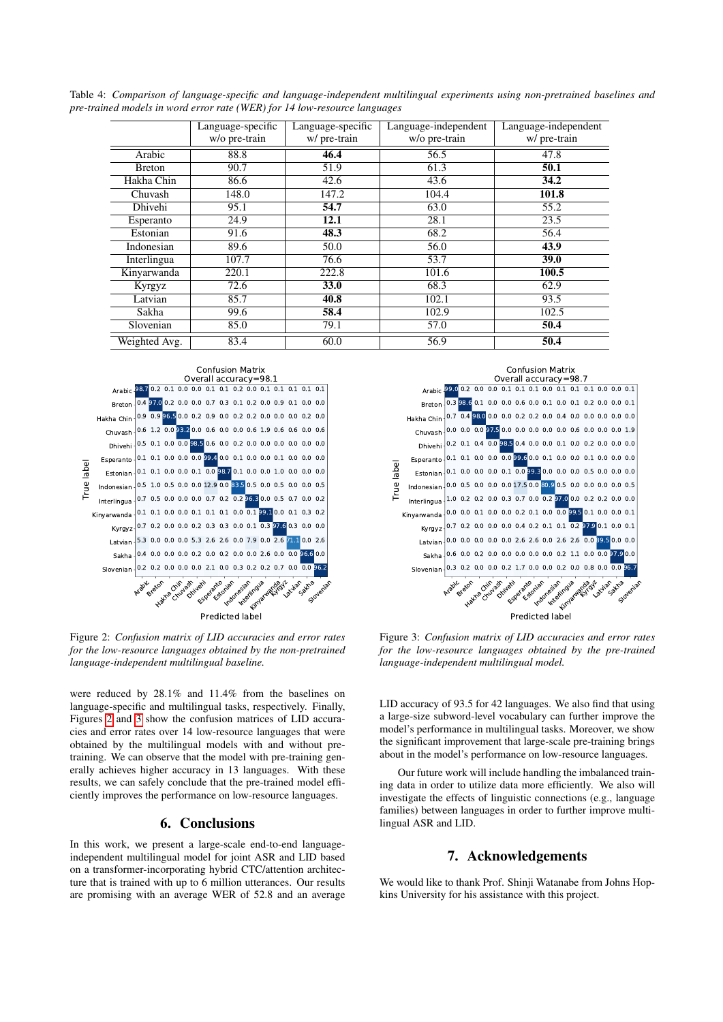|               | Language-specific | Language-specific | Language-independent | Language-independent |
|---------------|-------------------|-------------------|----------------------|----------------------|
|               | w/o pre-train     | w/ pre-train      | w/o pre-train        | w/ pre-train         |
| Arabic        | 88.8              | 46.4              | 56.5                 | 47.8                 |
| <b>Breton</b> | 90.7              | 51.9              | 61.3                 | 50.1                 |
| Hakha Chin    | 86.6              | 42.6              | 43.6                 | 34.2                 |
| Chuvash       | 148.0             | 147.2             | 104.4                | 101.8                |
| Dhivehi       | 95.1              | 54.7              | 63.0                 | 55.2                 |
| Esperanto     | 24.9              | 12.1              | 28.1                 | 23.5                 |
| Estonian      | 91.6              | 48.3              | 68.2                 | 56.4                 |
| Indonesian    | 89.6              | 50.0              | 56.0                 | 43.9                 |
| Interlingua   | 107.7             | 76.6              | 53.7                 | 39.0                 |
| Kinyarwanda   | 220.1             | 222.8             | 101.6                | 100.5                |
| Kyrgyz        | 72.6              | 33.0              | 68.3                 | 62.9                 |
| Latvian       | 85.7              | 40.8              | 102.1                | 93.5                 |
| Sakha         | 99.6              | 58.4              | 102.9                | 102.5                |
| Slovenian     | 85.0              | 79.1              | 57.0                 | 50.4                 |
| Weighted Avg. | 83.4              | 60.0              | 56.9                 | 50.4                 |

<span id="page-3-0"></span>Table 4: *Comparison of language-specific and language-independent multilingual experiments using non-pretrained baselines and pre-trained models in word error rate (WER) for 14 low-resource languages*

<span id="page-3-1"></span>

Figure 2: *Confusion matrix of LID accuracies and error rates for the low-resource languages obtained by the non-pretrained language-independent multilingual baseline.*

were reduced by 28.1% and 11.4% from the baselines on language-specific and multilingual tasks, respectively. Finally, Figures [2](#page-3-1) and [3](#page-3-2) show the confusion matrices of LID accuracies and error rates over 14 low-resource languages that were obtained by the multilingual models with and without pretraining. We can observe that the model with pre-training generally achieves higher accuracy in 13 languages. With these results, we can safely conclude that the pre-trained model efficiently improves the performance on low-resource languages. are promising with an average WER of  $\frac{1}{2}$  and  $\frac{1}{2}$  are promising with an average WER of 52.8 and an average WER of 52.8 and an average WER of 52.8 and an average WER of 52.8 and an average WER of 52.8 and an ave

### 6. Conclusions

In this work, we present a large-scale end-to-end languageindependent multilingual model for joint ASR and LID based on a transformer-incorporating hybrid CTC/attention architecture that is trained with up to 6 million utterances. Our results

<span id="page-3-2"></span>

Figure 3: *Confusion matrix of LID accuracies and error rates for the low-resource languages obtained by the pre-trained language-independent multilingual model.*

LID accuracy of 93.5 for 42 languages. We also find that using a large-size subword-level vocabulary can further improve the model's performance in multilingual tasks. Moreover, we show the significant improvement that large-scale pre-training brings about in the model's performance on low-resource languages.

Our future work will include handling the imbalanced training data in order to utilize data more efficiently. We also will investigate the effects of linguistic connections (e.g., language families) between languages in order to further improve multilingual ASR and LID.

# 7. Acknowledgements

We would like to thank Prof. Shinji Watanabe from Johns Hopkins University for his assistance with this project.